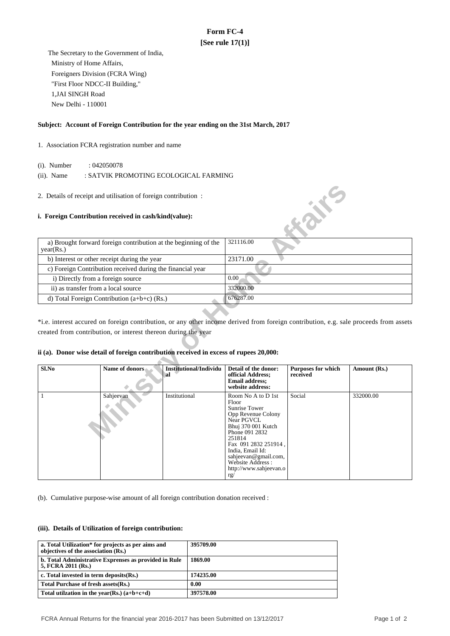# **Form FC-4 [See rule 17(1)]**

 The Secretary to the Government of India, Ministry of Home Affairs, Foreigners Division (FCRA Wing) "First Floor NDCC-II Building," 1,JAI SINGH Road New Delhi - 110001

## **Subject: Account of Foreign Contribution for the year ending on the 31st March, 2017**

## 1. Association FCRA registration number and name

(i). Number : 042050078

(ii). Name : SATVIK PROMOTING ECOLOGICAL FARMING

### **i. Foreign Contribution received in cash/kind(value):**

| a) Brought forward foreign contribution at the beginning of the<br>year(Rs.) | 321116.00 |
|------------------------------------------------------------------------------|-----------|
| b) Interest or other receipt during the year                                 | 23171.00  |
| c) Foreign Contribution received during the financial year                   |           |
| i) Directly from a foreign source                                            | 0.00      |
| ii) as transfer from a local source                                          | 332000.00 |
| d) Total Foreign Contribution $(a+b+c)$ (Rs.)                                | 676287.00 |

## **ii (a). Donor wise detail of foreign contribution received in excess of rupees 20,000:**

| 2. Details of receipt and utilisation of foreign contribution:               |                                                                                        |                                     |                                                                                                                                                                                                                                                              | 成长                             |              |
|------------------------------------------------------------------------------|----------------------------------------------------------------------------------------|-------------------------------------|--------------------------------------------------------------------------------------------------------------------------------------------------------------------------------------------------------------------------------------------------------------|--------------------------------|--------------|
|                                                                              | i. Foreign Contribution received in cash/kind(value):                                  |                                     |                                                                                                                                                                                                                                                              |                                |              |
| a) Brought forward foreign contribution at the beginning of the<br>year(Rs.) |                                                                                        |                                     | 321116.00                                                                                                                                                                                                                                                    |                                |              |
| b) Interest or other receipt during the year                                 |                                                                                        |                                     | 23171.00                                                                                                                                                                                                                                                     |                                |              |
|                                                                              | c) Foreign Contribution received during the financial year                             |                                     |                                                                                                                                                                                                                                                              |                                |              |
|                                                                              | i) Directly from a foreign source                                                      |                                     | 0.00                                                                                                                                                                                                                                                         |                                |              |
|                                                                              | ii) as transfer from a local source                                                    |                                     |                                                                                                                                                                                                                                                              |                                |              |
|                                                                              | d) Total Foreign Contribution $(a+b+c)$ (Rs.)                                          |                                     | 676287.00                                                                                                                                                                                                                                                    |                                |              |
|                                                                              | ii (a). Donor wise detail of foreign contribution received in excess of rupees 20,000: |                                     |                                                                                                                                                                                                                                                              |                                |              |
| Sl.No                                                                        | Name of donors                                                                         | <b>Institutional/Individu</b><br>al | Detail of the donor:<br>official Address;<br><b>Email address:</b><br>website address:                                                                                                                                                                       | Purposes for which<br>received | Amount (Rs.) |
| 1                                                                            | Sahjeevan                                                                              | Institutional                       | Room No A to D 1st<br>Floor<br>Sunrise Tower<br>Opp Revenue Colony<br>Near PGVCL<br>Bhuj 370 001 Kutch<br>Phone 091 2832<br>251814<br>Fax 091 2832 251914,<br>India, Email Id:<br>sahjeevan@gmail.com,<br>Website Address :<br>http://www.sahjeevan.o<br>rg/ | Social                         | 332000.00    |

(b). Cumulative purpose-wise amount of all foreign contribution donation received :

#### **(iii). Details of Utilization of foreign contribution:**

| a. Total Utilization* for projects as per aims and<br>objectives of the association (Rs.) | 395709.00 |
|-------------------------------------------------------------------------------------------|-----------|
| b. Total Administrative Exprenses as provided in Rule<br>5, FCRA 2011 (Rs.)               | 1869.00   |
| c. Total invested in term deposits (Rs.)                                                  | 174235.00 |
| Total Purchase of fresh assets (Rs.)                                                      | 0.00      |
| Total utilization in the year(Rs.) $(a+b+c+d)$                                            | 397578.00 |